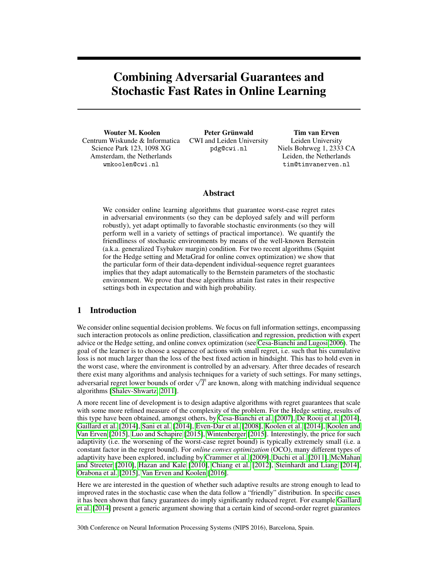# Combining Adversarial Guarantees and Stochastic Fast Rates in Online Learning

Wouter M. Koolen Centrum Wiskunde & Informatica Science Park 123, 1098 XG Amsterdam, the Netherlands wmkoolen@cwi.nl

Peter Grünwald CWI and Leiden University pdg@cwi.nl

Tim van Erven Leiden University Niels Bohrweg 1, 2333 CA Leiden, the Netherlands tim@timvanerven.nl

# Abstract

We consider online learning algorithms that guarantee worst-case regret rates in adversarial environments (so they can be deployed safely and will perform robustly), yet adapt optimally to favorable stochastic environments (so they will perform well in a variety of settings of practical importance). We quantify the friendliness of stochastic environments by means of the well-known Bernstein (a.k.a. generalized Tsybakov margin) condition. For two recent algorithms (Squint for the Hedge setting and MetaGrad for online convex optimization) we show that the particular form of their data-dependent individual-sequence regret guarantees implies that they adapt automatically to the Bernstein parameters of the stochastic environment. We prove that these algorithms attain fast rates in their respective settings both in expectation and with high probability.

# 1 Introduction

We consider online sequential decision problems. We focus on full information settings, encompassing such interaction protocols as online prediction, classification and regression, prediction with expert advice or the Hedge setting, and online convex optimization (see [Cesa-Bianchi and Lugosi 2006\)](#page-7-0). The goal of the learner is to choose a sequence of actions with small regret, i.e. such that his cumulative loss is not much larger than the loss of the best fixed action in hindsight. This has to hold even in the worst case, where the environment is controlled by an adversary. After three decades of research there exist many algorithms and analysis techniques for a variety of such settings. For many settings, ance exist many argoriums and analysis techniques for a variety of such settings. For many settings, adversarial regret lower bounds of order  $\sqrt{T}$  are known, along with matching individual sequence algorithms [\[Shalev-Shwartz, 2011\]](#page-8-0).

A more recent line of development is to design adaptive algorithms with regret guarantees that scale with some more refined measure of the complexity of the problem. For the Hedge setting, results of this type have been obtained, amongst others, by [Cesa-Bianchi et al.](#page-7-1) [\[2007\]](#page-7-1), [De Rooij et al.](#page-8-1) [\[2014\]](#page-8-1), [Gaillard et al.](#page-8-2) [\[2014\]](#page-8-2), [Sani et al.](#page-8-3) [\[2014\]](#page-8-3), [Even-Dar et al.](#page-8-4) [\[2008\]](#page-8-4), [Koolen et al.](#page-8-5) [\[2014\]](#page-8-5), [Koolen and](#page-8-6) [Van Erven](#page-8-6) [\[2015\]](#page-8-6), [Luo and Schapire](#page-8-7) [\[2015\]](#page-8-7), [Wintenberger](#page-8-8) [\[2015\]](#page-8-8). Interestingly, the price for such adaptivity (i.e. the worsening of the worst-case regret bound) is typically extremely small (i.e. a constant factor in the regret bound). For *online convex optimization* (OCO), many different types of adaptivity have been explored, including by [Crammer et al.](#page-7-2) [\[2009\]](#page-7-2), [Duchi et al.](#page-8-9) [\[2011\]](#page-8-9), [McMahan](#page-8-10) [and Streeter](#page-8-10) [\[2010\]](#page-8-10), [Hazan and Kale](#page-8-11) [\[2010\]](#page-8-11), [Chiang et al.](#page-7-3) [\[2012\]](#page-7-3), [Steinhardt and Liang](#page-8-12) [\[2014\]](#page-8-12), [Orabona et al.](#page-8-13) [\[2015\]](#page-8-13), [Van Erven and Koolen](#page-8-14) [\[2016\]](#page-8-14).

Here we are interested in the question of whether such adaptive results are strong enough to lead to improved rates in the stochastic case when the data follow a "friendly" distribution. In specific cases it has been shown that fancy guarantees do imply significantly reduced regret. For example [Gaillard](#page-8-2) [et al.](#page-8-2) [\[2014\]](#page-8-2) present a generic argument showing that a certain kind of second-order regret guarantees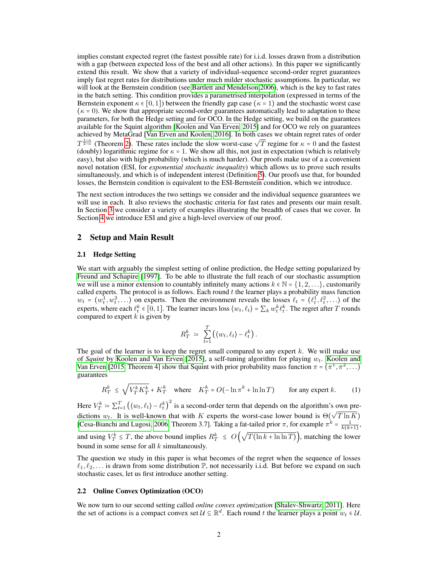implies constant expected regret (the fastest possible rate) for i.i.d. losses drawn from a distribution with a gap (between expected loss of the best and all other actions). In this paper we significantly extend this result. We show that a variety of individual-sequence second-order regret guarantees imply fast regret rates for distributions under much milder stochastic assumptions. In particular, we will look at the Bernstein condition (see [Bartlett and Mendelson 2006\)](#page-7-4), which is the key to fast rates in the batch setting. This condition provides a parametrised interpolation (expressed in terms of the Bernstein exponent  $\kappa \in [0,1]$ ) between the friendly gap case ( $\kappa = 1$ ) and the stochastic worst case  $(\kappa = 0)$ . We show that appropriate second-order guarantees automatically lead to adaptation to these parameters, for both the Hedge setting and for OCO. In the Hedge setting, we build on the guarantees available for the Squint algorithm [\[Koolen and Van Erven, 2015\]](#page-8-6) and for OCO we rely on guarantees achieved by MetaGrad [\[Van Erven and Koolen, 2016\]](#page-8-14). In both cases we obtain regret rates of order  $T^{\frac{1-\kappa}{2-\kappa}}$  (Theorem [2\)](#page-3-0). These rates include the slow worst-case  $\sqrt{T}$  regime for  $\kappa = 0$  and the fastest (doubly) logarithmic regime for  $\kappa = 1$ . We show all this, not just in expectation (which is relatively easy), but also with high probability (which is much harder). Our proofs make use of a a convenient novel notation (ESI, for *exponential stochastic inequality*) which allows us to prove such results simultaneously, and which is of independent interest (Definition [5\)](#page-6-0). Our proofs use that, for bounded losses, the Bernstein condition is equivalent to the ESI-Bernstein condition, which we introduce.

The next section introduces the two settings we consider and the individual sequence guarantees we will use in each. It also reviews the stochastic criteria for fast rates and presents our main result. In Section [3](#page-4-0) we consider a variety of examples illustrating the breadth of cases that we cover. In Section [4](#page-6-1) we introduce ESI and give a high-level overview of our proof.

## 2 Setup and Main Result

#### 2.1 Hedge Setting

We start with arguably the simplest setting of online prediction, the Hedge setting popularized by [Freund and Schapire](#page-8-15) [\[1997\]](#page-8-15). To be able to illustrate the full reach of our stochastic assumption we will use a minor extension to countably infinitely many actions  $k \in \mathbb{N} = \{1, 2, \ldots\}$ , customarily called experts. The protocol is as follows. Each round  $t$  the learner plays a probability mass function  $w_t = (w_t^1, w_t^2, \ldots)$  on experts. Then the environment reveals the losses  $\ell_t = (\ell_t^1, \ell_t^2, \ldots)$  of the experts, where each  $\ell_t^k \in [0, 1]$ . The learner incurs loss  $\langle w_t, \ell_t \rangle = \sum_k w_t^k \ell_t^k$ . The regret after T rounds compared to expert  $k$  is given by

$$
R_T^k \; \coloneqq \; \sum_{t=1}^T \left( \langle w_t, \ell_t \rangle - \ell_t^k \right).
$$

The goal of the learner is to keep the regret small compared to any expert  $k$ . We will make use of *Squint* by [Koolen and Van Erven](#page-8-6) [\[2015\]](#page-8-6), a self-tuning algorithm for playing  $w_t$ . [Koolen and](#page-8-6) [Van Erven](#page-8-6) [\[2015,](#page-8-6) Theorem 4] show that Squint with prior probability mass function  $\pi = (\pi^1, \pi^2, \dots)$ guarantees

<span id="page-1-0"></span>
$$
R_T^k \le \sqrt{V_T^k K_T^k} + K_T^k \quad \text{where} \quad K_T^k = O(-\ln \pi^k + \ln \ln T) \qquad \text{for any expert } k. \tag{1}
$$

Here  $V_T^k = \sum_{t=1}^T (\langle w_t, \ell_t \rangle - \ell_t^k)^2$  is a second-order term that depends on the algorithm's own predictions  $w_t$ . It is well-known that with K experts the worst-case lower bound is  $\Theta$ ( √  $T \ln K$ ) [\[Cesa-Bianchi and Lugosi, 2006,](#page-7-0) Theorem 3.7]. Taking a fat-tailed prior  $\pi$ , for example  $\pi^k = \frac{1}{k(k+1)}$ , and using  $V_T^k \leq T$ , the above bound implies  $R_T^k \leq O$ √  $T(\ln k + \ln \ln T)$ , matching the lower bound in some sense for all  $k$  simultaneously.

The question we study in this paper is what becomes of the regret when the sequence of losses  $\ell_1, \ell_2, \ldots$  is drawn from some distribution P, not necessarily i.i.d. But before we expand on such stochastic cases, let us first introduce another setting.

## 2.2 Online Convex Optimization (OCO)

We now turn to our second setting called *online convex optimization* [\[Shalev-Shwartz, 2011\]](#page-8-0). Here the set of actions is a compact convex set  $\mathcal{U} \subseteq \mathbb{R}^d$ . Each round t the learner plays a point  $w_t \in \mathcal{U}$ .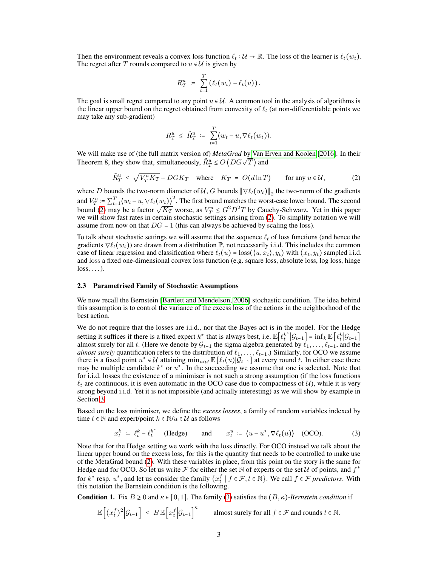Then the environment reveals a convex loss function  $\ell_t : U \to \mathbb{R}$ . The loss of the learner is  $\ell_t(w_t)$ . The regret after T rounds compared to  $u \in U$  is given by

$$
R_T^u = \sum_{t=1}^T (\ell_t(w_t) - \ell_t(u)).
$$

The goal is small regret compared to any point  $u \in U$ . A common tool in the analysis of algorithms is the linear upper bound on the regret obtained from convexity of  $\ell_t$  (at non-differentiable points we may take any sub-gradient)

<span id="page-2-0"></span>
$$
R_T^u \leq \tilde{R}_T^u \coloneqq \sum_{t=1}^T \langle w_t - u, \nabla \ell_t(w_t) \rangle.
$$

We will make use of (the full matrix version of) *MetaGrad* by [Van Erven and Koolen](#page-8-14) [\[2016\]](#page-8-14). In their We will like use of the full matrix version of *metaorial* by vali E<br>Theorem 8, they show that, simultaneously,  $\tilde{R}^u_T \le O\left(DG\sqrt{T}\right)$  and

$$
\tilde{R}^u_T \le \sqrt{V_T^u K_T} + D G K_T \quad \text{where} \quad K_T = O(d \ln T) \qquad \text{for any } u \in \mathcal{U}, \tag{2}
$$

where D bounds the two-norm diameter of U, G bounds  $\|\nabla \ell_t(w_t)\|_2$  the two-norm of the gradients and  $V_T^u \coloneqq \sum_{t=1}^T \langle w_t - u, \nabla \ell_t(w_t) \rangle^2$ . The first bound matches the worst-case lower bound. The second bound [\(2\)](#page-2-0) may be a factor  $\sqrt{K_T}$  worse, as  $V_T^u \leq G^2 D^2 T$  by Cauchy-Schwarz. Yet in this paper we will show fast rates in certain stochastic settings arising from [\(2\)](#page-2-0). To simplify notation we will assume from now on that  $DG = 1$  (this can always be achieved by scaling the loss).

To talk about stochastic settings we will assume that the sequence  $\ell_t$  of loss functions (and hence the gradients  $\nabla \ell_t(w_t)$ ) are drawn from a distribution P, not necessarily i.i.d. This includes the common case of linear regression and classification where  $\ell_t(u) = \text{loss}(\langle u, x_t \rangle, y_t)$  with  $(x_t, y_t)$  sampled i.i.d. and loss a fixed one-dimensional convex loss function (e.g. square loss, absolute loss, log loss, hinge  $loss, \ldots$ ).

#### 2.3 Parametrised Family of Stochastic Assumptions

We now recall the Bernstein [\[Bartlett and Mendelson, 2006\]](#page-7-4) stochastic condition. The idea behind this assumption is to control the variance of the excess loss of the actions in the neighborhood of the best action.

We do not require that the losses are i.i.d., nor that the Bayes act is in the model. For the Hedge setting it suffices if there is a fixed expert k<sup>\*</sup> that is always best, i.e.  $\mathbb{E}[\ell_t^{k^*}|G_{t-1}] = \inf_k \mathbb{E}[\ell_t^{k}|G_{t-1}]$ almost surely for all t. (Here we denote by  $\mathcal{G}_{t-1}$  the sigma algebra generated by  $\ell_1, \ldots, \ell_{t-1}$ , and the *almost surely* quantification refers to the distribution of  $\ell_1, \ldots, \ell_{t-1}$ .) Similarly, for OCO we assume there is a fixed point  $u^* \in \mathcal{U}$  attaining  $\min_{u \in \mathcal{U}} \mathbb{E}\left[\ell_t(u)|\mathcal{G}_{t-1}\right]$  at every round t. In either case there may be multiple candidate  $k^*$  or  $u^*$ . In the succeeding we assume that one is selected. Note that for i.i.d. losses the existence of a minimiser is not such a strong assumption (if the loss functions  $\ell_t$  are continuous, it is even automatic in the OCO case due to compactness of U), while it is very strong beyond i.i.d. Yet it is not impossible (and actually interesting) as we will show by example in Section [3.](#page-4-0)

Based on the loss minimiser, we define the *excess losses*, a family of random variables indexed by time  $t \in \mathbb{N}$  and expert/point  $k \in \mathbb{N}/u \in \mathcal{U}$  as follows

<span id="page-2-1"></span>
$$
x_t^k := \ell_t^k - \ell_t^{k^*} \quad \text{(Hedge)} \qquad \text{and} \qquad x_t^u := \langle u - u^*, \nabla \ell_t(u) \rangle \quad \text{(OCO)}.
$$
 (3)

Note that for the Hedge setting we work with the loss directly. For OCO instead we talk about the linear upper bound on the excess loss, for this is the quantity that needs to be controlled to make use of the MetaGrad bound [\(2\)](#page-2-0). With these variables in place, from this point on the story is the same for Hedge and for OCO. So let us write  $\mathcal F$  for either the set N of experts or the set U of points, and  $f^*$ for  $k^*$  resp.  $u^*$ , and let us consider the family  $\{x_t^f \mid f \in \mathcal{F}, t \in \mathbb{N}\}\)$ . We call  $f \in \mathcal{F}$  *predictors*. With this notation the Bernstein condition is the following.

<span id="page-2-2"></span>**Condition 1.** Fix  $B \ge 0$  and  $\kappa \in [0, 1]$ . The family [\(3\)](#page-2-1) satisfies the  $(B, \kappa)$ -Bernstein condition if

$$
\mathbb{E}\Big[(x_t^f)^2\Big|\mathcal{G}_{t-1}\Big] \leq B\,\mathbb{E}\Big[x_t^f\Big|\mathcal{G}_{t-1}\Big]^\kappa \qquad \text{almost surely for all } f \in \mathcal{F} \text{ and rounds } t \in \mathbb{N}.
$$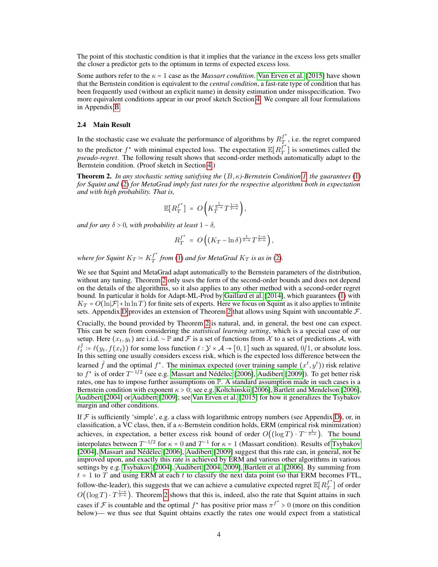The point of this stochastic condition is that it implies that the variance in the excess loss gets smaller the closer a predictor gets to the optimum in terms of expected excess loss.

Some authors refer to the  $\kappa = 1$  case as the *Massart condition*. [Van Erven et al.](#page-8-16) [\[2015\]](#page-8-16) have shown that the Bernstein condition is equivalent to the *central condition*, a fast-rate type of condition that has been frequently used (without an explicit name) in density estimation under misspecification. Two more equivalent conditions appear in our proof sketch Section [4.](#page-6-1) We compare all four formulations in Appendix [B.](#page--1-0)

#### 2.4 Main Result

In the stochastic case we evaluate the performance of algorithms by  $R_T^{f^*}$  $T$ , i.e. the regret compared to the predictor  $f^*$  with minimal expected loss. The expectation  $\mathbb{E}[R_f^{\overline{f}^*}]$  $T$ ] is sometimes called the *pseudo-regret*. The following result shows that second-order methods automatically adapt to the Bernstein condition. (Proof sketch in Section [4.](#page-6-1))

<span id="page-3-0"></span>**Theorem 2.** *In any stochastic setting satisfying the*  $(B, \kappa)$ -Bernstein Condition [1,](#page-2-2) the guarantees [\(1\)](#page-1-0) *for Squint and* [\(2\)](#page-2-0) *for MetaGrad imply fast rates for the respective algorithms both in expectation and with high probability. That is,*

$$
\mathbb{E}\big[R_T^{f^*}\big] = O\bigg(K_T^{\frac{1}{2-\kappa}}T^{\frac{1-\kappa}{2-\kappa}}\bigg),
$$

*and for any*  $\delta > 0$ *, with probability at least*  $1 - \delta$ *,* 

$$
R_T^{f^*} = O\left((K_T - \ln \delta)^{\frac{1}{2-\kappa}} T^{\frac{1-\kappa}{2-\kappa}}\right),\,
$$

where for Squint  $K_T \coloneqq K_T^{f^*}$  $T$  from [\(1\)](#page-1-0) and for MetaGrad  $K_T$  is as in [\(2\)](#page-2-0).

We see that Squint and MetaGrad adapt automatically to the Bernstein parameters of the distribution, without any tuning. Theorem [2](#page-3-0) only uses the form of the second-order bounds and does not depend on the details of the algorithms, so it also applies to any other method with a second-order regret bound. In particular it holds for Adapt-ML-Prod by [Gaillard et al.](#page-8-2) [\[2014\]](#page-8-2), which guarantees [\(1\)](#page-1-0) with  $K_T = O(\ln |\mathcal{F}| + \ln \ln T)$  for finite sets of experts. Here we focus on Squint as it also applies to infinite sets. Appendix [D](#page--1-1) provides an extension of Theorem [2](#page-3-0) that allows using Squint with uncountable  $\mathcal{F}$ .

Crucially, the bound provided by Theorem [2](#page-3-0) is natural, and, in general, the best one can expect. This can be seen from considering the *statistical learning setting*, which is a special case of our setup. Here  $(x_t, y_t)$  are i.i.d. ~  $\mathbb P$  and  $\mathcal F$  is a set of functions from X to a set of predictions A, with  $\ell_t^f := \ell(y_t, f(x_t))$  for some loss function  $\ell : \mathcal{Y} \times \mathcal{A} \to [0, 1]$  such as squared,  $0/1$ , or absolute loss. In this setting one usually considers excess risk, which is the expected loss difference between the learned  $\hat{f}$  and the optimal  $f^*$ . The minimax expected (over training sample  $(x^t, y^t)$ ) risk relative to  $f^*$  is of order  $T^{-1/2}$  (see e.g. [Massart and Nédélec](#page-8-17) [\[2006\]](#page-8-17), [Audibert](#page-7-5) [\[2009\]](#page-7-5)). To get better risk rates, one has to impose further assumptions on P. A standard assumption made in such cases is a Bernstein condition with exponent  $\kappa > 0$ ; see e.g. [Koltchinskii](#page-8-18) [\[2006\]](#page-7-4), [Bartlett and Mendelson](#page-7-4) [2006], [Audibert](#page-7-6) [\[2004\]](#page-7-6) or [Audibert](#page-7-5) [\[2009\]](#page-7-5); see [Van Erven et al.](#page-8-16) [\[2015\]](#page-8-16) for how it generalizes the Tsybakov margin and other conditions.

If  $F$  is sufficiently 'simple', e.g. a class with logarithmic entropy numbers (see Appendix [D\)](#page--1-1), or, in classification, a VC class, then, if a κ-Bernstein condition holds, ERM (empirical risk minimization) achieves, in expectation, a better excess risk bound of order  $O((\log T) \cdot T^{-\frac{1}{2-\kappa}})$ . The bound interpolates between  $T^{-1/2}$  for  $\kappa = 0$  and  $T^{-1}$  for  $\kappa = 1$  (Massart condition). Results of [Tsybakov](#page-8-19) [\[2004\]](#page-8-19), [Massart and Nédélec](#page-8-17) [\[2006\]](#page-8-17), [Audibert](#page-7-5) [\[2009\]](#page-7-5) suggest that this rate can, in general, not be improved upon, and exactly this rate is achieved by ERM and various other algorithms in various settings by e.g. [Tsybakov](#page-8-19) [\[2004\]](#page-8-19), [Audibert](#page-7-6) [\[2004,](#page-7-6) [2009\]](#page-7-5), [Bartlett et al.](#page-7-7) [\[2006\]](#page-7-7). By summing from  $t = 1$  to  $\overline{T}$  and using ERM at each  $t$  to classify the next data point (so that ERM becomes FTL, follow-the-leader), this suggests that we can achieve a cumulative expected regret  $\mathbb{E}[R_T^{f^*}]$  $T_{T}^{J}$ ] of order  $O((\log T) \cdot T^{\frac{1-\kappa}{2-\kappa}})$ . Theorem [2](#page-3-0) shows that this is, indeed, also the rate that Squint attains in such cases if F is countable and the optimal  $f^*$  has positive prior mass  $\pi^{f^*} > 0$  (more on this condition below)— we thus see that Squint obtains exactly the rates one would expect from a statistical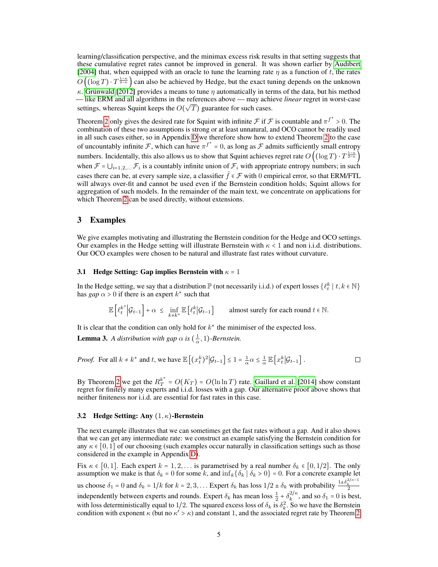learning/classification perspective, and the minimax excess risk results in that setting suggests that these cumulative regret rates cannot be improved in general. It was shown earlier by [Audibert](#page-7-6) [\[2004\]](#page-7-6) that, when equipped with an oracle to tune the learning rate  $\eta$  as a function of t, the rates  $O((\log T) \cdot T^{\frac{1-\kappa}{2-\kappa}})$  can also be achieved by Hedge, but the exact tuning depends on the unknown κ. [Grünwald](#page-8-20) [\[2012\]](#page-8-20) provides a means to tune  $\eta$  automatically in terms of the data, but his method — like ERM and all algorithms in the references above — may achieve *linear* regret in worst-case √ settings, whereas Squint keeps the  $O(\sqrt{T})$  guarantee for such cases.

Theorem [2](#page-3-0) only gives the desired rate for Squint with infinite  $\mathcal F$  if  $\mathcal F$  is countable and  $\pi^{f^*} > 0$ . The combination of these two assumptions is strong or at least unnatural, and OCO cannot be readily used in all such cases either, so in Appendix [D](#page--1-1) we therefore show how to extend Theorem [2](#page-3-0) to the case of uncountably infinite F, which can have  $\pi^{f^*} = 0$ , as long as F admits sufficiently small entropy numbers. Incidentally, this also allows us to show that Squint achieves regret rate  $O\left((\log T) \cdot T^{\frac{1-\kappa}{2-\kappa}}\right)$ when  $\mathcal{F} = \bigcup_{i=1,2,...} \mathcal{F}_i$  is a countably infinite union of  $\mathcal{F}_i$  with appropriate entropy numbers; in such cases there can be, at every sample size, a classifier  $f \in \mathcal{F}$  with 0 empirical error, so that ERM/FTL will always over-fit and cannot be used even if the Bernstein condition holds; Squint allows for aggregation of such models. In the remainder of the main text, we concentrate on applications for which Theorem [2](#page-3-0) can be used directly, without extensions.

## <span id="page-4-0"></span>3 Examples

We give examples motivating and illustrating the Bernstein condition for the Hedge and OCO settings. Our examples in the Hedge setting will illustrate Bernstein with  $\kappa < 1$  and non i.i.d. distributions. Our OCO examples were chosen to be natural and illustrate fast rates without curvature.

#### 3.1 Hedge Setting: Gap implies Bernstein with  $\kappa = 1$

In the Hedge setting, we say that a distribution  $\mathbb P$  (not necessarily i.i.d.) of expert losses  $\{\ell_t^k \mid t, k \in \mathbb N\}$ has  $gap \alpha > 0$  if there is an expert  $k^*$  such that

$$
\mathbb{E}\left[\ell_t^{k^*}\Big|\mathcal{G}_{t-1}\right] + \alpha \le \inf_{k \neq k^*} \mathbb{E}\left[\ell_t^k\Big|\mathcal{G}_{t-1}\right] \qquad \text{almost surely for each round } t \in \mathbb{N}.
$$

It is clear that the condition can only hold for  $k^*$  the minimiser of the expected loss.

**Lemma 3.** *A distribution with gap*  $\alpha$  *is*  $\left(\frac{1}{\alpha}, 1\right)$ *-Bernstein.* 

*Proof.* For all 
$$
k \neq k^*
$$
 and t, we have  $\mathbb{E}[(x_t^k)^2 | \mathcal{G}_{t-1}] \leq 1 = \frac{1}{\alpha} \alpha \leq \frac{1}{\alpha} \mathbb{E}[x_t^k | \mathcal{G}_{t-1}].$ 

By Theorem [2](#page-3-0) we get the  $R_T^{k^*}$  $T_T^* = O(K_T) = O(\ln \ln T)$  rate. [Gaillard et al.](#page-8-2) [\[2014\]](#page-8-2) show constant regret for finitely many experts and i.i.d. losses with a gap. Our alternative proof above shows that neither finiteness nor i.i.d. are essential for fast rates in this case.

#### 3.2 Hedge Setting: Any  $(1, \kappa)$ -Bernstein

The next example illustrates that we can sometimes get the fast rates without a gap. And it also shows that we can get any intermediate rate: we construct an example satisfying the Bernstein condition for any  $\kappa \in [0, 1]$  of our choosing (such examples occur naturally in classification settings such as those considered in the example in Appendix [D\)](#page--1-1).

Fix  $\kappa \in [0,1]$ . Each expert  $k = 1, 2, \ldots$  is parametrised by a real number  $\delta_k \in [0,1/2]$ . The only assumption we make is that  $\delta_k = 0$  for some k, and  $\inf_k {\delta_k \mid \delta_k > 0} = 0$ . For a concrete example let us choose  $\delta_1 = 0$  and  $\delta_k = 1/k$  for  $k = 2, 3, ...$  Expert  $\delta_k$  has loss  $1/2 \pm \delta_k$  with probability  $\frac{1 \pm \delta_k^{2/\kappa - 1}}{2}$ independently between experts and rounds. Expert  $\delta_k$  has mean loss  $\frac{1}{2} + \delta_k^{2/\kappa}$  $\frac{f^{2}}{k}$ , and so  $\delta_1 = 0$  is best, with loss deterministically equal to 1/2. The squared excess loss of  $\delta_k$  is  $\delta_k^2$ . So we have the Bernstein condition with exponent  $\kappa$  (but no  $\kappa' > \kappa$ ) and constant 1, and the associated regret rate by Theorem [2.](#page-3-0)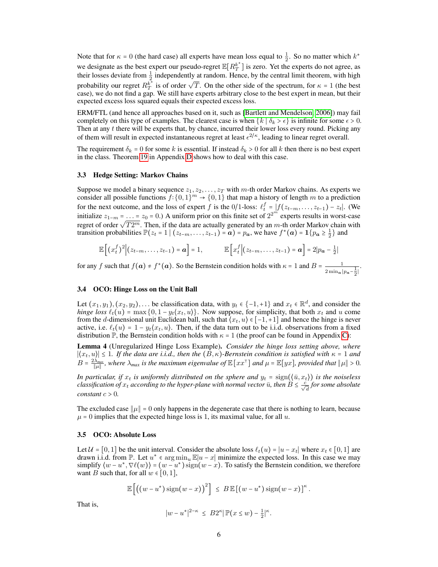Note that for  $\kappa = 0$  (the hard case) all experts have mean loss equal to  $\frac{1}{2}$ . So no matter which  $k^*$ we designate as the best expert our pseudo-regret  $\mathbb{E}[R_T^{k^*}]$  $T_{T}^{k}$ ] is zero. Yet the experts do not agree, as their losses deviate from  $\frac{1}{2}$  independently at random. Hence, by the central limit theorem, with high probability our regret  $R^{\vec{k^*}}_T$ <sup>2</sup>/<sub>2</sub> independently at random. Tence, by the central mint diction, with ingits  $\frac{k^*}{T}$  is of order  $\sqrt{T}$ . On the other side of the spectrum, for  $\kappa = 1$  (the best case), we do not find a gap. We still have experts arbitrary close to the best expert in mean, but their expected excess loss squared equals their expected excess loss.

ERM/FTL (and hence all approaches based on it, such as [\[Bartlett and Mendelson, 2006\]](#page-7-4)) may fail completely on this type of examples. The clearest case is when  $\{k \mid \delta_k > \epsilon\}$  is infinite for some  $\epsilon > 0$ . Then at any t there will be experts that, by chance, incurred their lower loss every round. Picking any of them will result in expected instantaneous regret at least  $\epsilon^{2/\kappa}$ , leading to linear regret overall.

The requirement  $\delta_k = 0$  for some k is essential. If instead  $\delta_k > 0$  for all k then there is no best expert in the class. Theorem [19](#page--1-2) in Appendix [D](#page--1-1) shows how to deal with this case.

#### 3.3 Hedge Setting: Markov Chains

Suppose we model a binary sequence  $z_1, z_2, \ldots, z_T$  with m-th order Markov chains. As experts we consider all possible functions  $f: \{0,1\}^m \to \{0,1\}$  that map a history of length m to a prediction for the next outcome, and the loss of expert f is the 0/1-loss:  $\ell_t^f = |f(z_{t-m}, \ldots, z_{t-1}) - z_t|$ . (We initialize  $z_{1-m} = ... = z_0 = 0$ .) A uniform prior on this finite set of  $2^{2^m}$  experts results in worst-case regret of order  $\sqrt{T2^m}$ . Then, if the data are actually generated by an *m*-th order Markov chain with transition probabilities  $\mathbb{P}(z_t = 1 \mid (z_{t-m}, \ldots, z_{t-1}) = \boldsymbol{a}) = p_{\boldsymbol{a}}$ , we have  $f^*(\boldsymbol{a}) = \mathbf{1} \{p_{\boldsymbol{a}} \ge \frac{1}{2}\}$  and

$$
\mathbb{E}\left[\left(x_t^f\right)^2\middle|(z_{t-m},\ldots,z_{t-1})=\boldsymbol{a}\right]=1,\qquad\mathbb{E}\left[x_t^f\middle|(z_{t-m},\ldots,z_{t-1})=\boldsymbol{a}\right]=2|p_{\boldsymbol{a}}-\frac{1}{2}|
$$

for any f such that  $f(a) \neq f^*(a)$ . So the Bernstein condition holds with  $\kappa = 1$  and  $B = \frac{1}{\kappa}$  $\frac{1}{2 \min_{\mathbf{a}} |p_{\mathbf{a}} - \frac{1}{2}|}.$ 

#### 3.4 OCO: Hinge Loss on the Unit Ball

Let  $(x_1, y_1), (x_2, y_2), \ldots$  be classification data, with  $y_t \in \{-1, +1\}$  and  $x_t \in \mathbb{R}^d$ , and consider the *hinge loss*  $\ell_t(u) = \max\{0, 1 - y_t\langle x_t, u \rangle\}$ . Now suppose, for simplicity, that both  $x_t$  and u come from the d-dimensional unit Euclidean ball, such that  $\langle x_t, u \rangle \in [-1, +1]$  and hence the hinge is never active, i.e.  $\ell_t(u) = 1 - y_t(x_t, u)$ . Then, if the data turn out to be i.i.d. observations from a fixed distribution  $\mathbb{P}$ , the Bernstein condition holds with  $\kappa = 1$  (the proof can be found in Appendix [C\)](#page--1-3):

Lemma 4 (Unregularized Hinge Loss Example). *Consider the hinge loss setting above, where*  $|\langle x_t, u \rangle|$  ≤ 1*. If the data are i.i.d., then the*  $(B, \kappa)$ *-Bernstein condition is satisfied with*  $\kappa$  = 1 *and*  $B = \frac{2\lambda_{max}}{\|\mu\|}$ , where  $\lambda_{max}$  is the maximum eigenvalue of  $\mathbb{E}[xx^{\top}]$  and  $\mu = \mathbb{E}[yx]$ , provided that  $\|\mu\| > 0$ .

*In particular, if*  $x_t$  *is uniformly distributed on the sphere and*  $y_t = \text{sign}(\langle \bar{u}, x_t \rangle)$  *is the noiseless classification of*  $x_t$  *according to the hyper-plane with normal vector*  $\bar{u}$ *, then*  $B \leq \frac{c}{\sqrt{d}}$  *for some absolute constant*  $c > 0$ *.* 

The excluded case  $\|\mu\| = 0$  only happens in the degenerate case that there is nothing to learn, because  $\mu = 0$  implies that the expected hinge loss is 1, its maximal value, for all u.

#### 3.5 OCO: Absolute Loss

Let  $U = [0, 1]$  be the unit interval. Consider the absolute loss  $\ell_t(u) = |u - x_t|$  where  $x_t \in [0, 1]$  are drawn i.i.d. from P. Let  $u^* \in \argmin_u \mathbb{E}|u-x|$  minimize the expected loss. In this case we may simplify  $\langle w - u^*, \nabla \ell(w) \rangle = (w - u^*) \operatorname{sign}(w - x)$ . To satisfy the Bernstein condition, we therefore want B such that, for all  $w \in [0, 1]$ ,

$$
\mathbb{E}\left[\left((w-u^*)\operatorname{sign}(w-x)\right)^2\right] \leq B \mathbb{E}\left[\left(w-u^*\right)\operatorname{sign}(w-x)\right]^{\kappa}
$$

.

That is,

$$
|w-u^*|^{2-\kappa} \leq B2^{\kappa} |\mathbb{P}(x \leq w) - \frac{1}{2}|^{\kappa}.
$$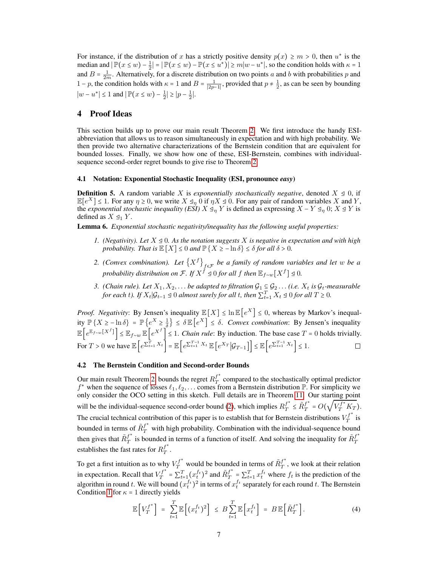For instance, if the distribution of x has a strictly positive density  $p(x) \ge m > 0$ , then  $u^*$  is the median and  $|\mathbb{P}(x \le w) - \frac{1}{2}| = |\mathbb{P}(x \le w) - \mathbb{P}(x \le u^*)| \ge m|w - u^*|$ , so the condition holds with  $\kappa = 1$ and  $B = \frac{1}{2m}$ . Alternatively, for a discrete distribution on two points a and b with probabilities p and 1 – p, the condition holds with  $\kappa = 1$  and  $B = \frac{1}{|2p-1|}$ , provided that  $p \neq \frac{1}{2}$ , as can be seen by bounding  $|w - u^*| \le 1$  and  $|\mathbb{P}(x \le w) - \frac{1}{2}| \ge |p - \frac{1}{2}|.$ 

# <span id="page-6-1"></span>4 Proof Ideas

This section builds up to prove our main result Theorem [2.](#page-3-0) We first introduce the handy ESIabbreviation that allows us to reason simultaneously in expectation and with high probability. We then provide two alternative characterizations of the Bernstein condition that are equivalent for bounded losses. Finally, we show how one of these, ESI-Bernstein, combines with individualsequence second-order regret bounds to give rise to Theorem [2.](#page-3-0)

#### 4.1 Notation: Exponential Stochastic Inequality (ESI, pronounce *easy*)

<span id="page-6-0"></span>**Definition 5.** A random variable X is *exponentially stochastically negative*, denoted  $X \leq 0$ , if  $\mathbb{E}[e^X] \leq 1$ . For any  $\eta \geq 0$ , we write  $X \leq_{\eta} 0$  if  $\eta X \leq 0$ . For any pair of random variables X and Y, the *exponential stochastic inequality (ESI)*  $X \leq_{\eta} Y$  is defined as expressing  $X - Y \leq_{\eta} 0$ ;  $X \leq Y$  is defined as  $X \trianglelefteq_1 Y$ .

<span id="page-6-4"></span><span id="page-6-3"></span>Lemma 6. *Exponential stochastic negativity/inequality has the following useful properties:*

- *1. (Negativity). Let* X ⊴ 0*. As the notation suggests* X *is negative in expectation and with high probability. That is*  $\mathbb{E}[X] \leq 0$  *and*  $\mathbb{P}\{X \geq -\ln \delta\} \leq \delta$  *for all*  $\delta > 0$ *.*
- 2. (Convex combination). Let  ${X<sup>f</sup>}_{f \in \mathcal{F}}$  be a family of random variables and let w be a *probability distribution on*  $\mathcal{F}$ *. If*  $X^{\check{f}} \trianglelefteq 0$  *for all f then*  $\mathbb{E}_{f \sim w}[X^f] \trianglelefteq 0$ *.*
- *3. (Chain rule). Let*  $X_1, X_2, \ldots$  *be adapted to filtration*  $\mathcal{G}_1 \subseteq \mathcal{G}_2 \ldots$  *(i.e.*  $X_t$  *is*  $\mathcal{G}_t$ -measurable *for each t*). If  $X_t | \mathcal{G}_{t-1} \trianglelefteq 0$  *almost surely for all*  $t$ , then  $\sum_{t=1}^T X_t \trianglelefteq 0$  *for all*  $T \geq 0$ *.*

*Proof. Negativity*: By Jensen's inequality  $\mathbb{E}[X] \leq \ln \mathbb{E}[e^X] \leq 0$ , whereas by Markov's inequality  $\mathbb{P}\{X \geq -\ln \delta\} = \mathbb{P}\{e^X \geq \frac{1}{\delta}\} \leq \delta \mathbb{E}\left[e^X\right] \leq \delta$ . *Convex combination*: By Jensen's inequality  $\mathbb{E}\left[e^{\mathbb{E}_{f\sim w}[X^f]}\right] \leq \mathbb{E}_{f\sim w}\mathbb{E}\left[e^{X^f}\right] \leq 1$ . *Chain rule*: By induction. The base case  $T = 0$  holds trivially. For  $T > 0$  we have  $\mathbb{E}\left[e^{\sum_{t=1}^{T} X_t}\right] = \mathbb{E}\left[e^{\sum_{t=1}^{T-1} X_t} \mathbb{E}\left[e^{X_T} | \mathcal{G}_{T-1}\right]\right] \leq \mathbb{E}\left[e^{\sum_{t=1}^{T-1} X_t}\right] \leq 1$ .

#### 4.2 The Bernstein Condition and Second-order Bounds

Our main result Theorem [2,](#page-3-0) bounds the regret  $R_T^{f^*}$  $T$  compared to the stochastically optimal predictor  $f^*$  when the sequence of losses  $\ell_1, \ell_2, \ldots$  comes from a Bernstein distribution  $\mathbb{P}$ . For simplicity we only consider the OCO setting in this sketch. Full details are in Theorem [11.](#page--1-4) Our starting point will be the individual-sequence second-order bound [\(2\)](#page-2-0), which implies  $R_T^{f^*}$  $f^*$   $\leq \tilde{R}f^*$  $f^*_T = O(\sqrt{V_T^{f^*}K_T}).$ The crucial technical contribution of this paper is to establish that for Bernstein distributions  $V_T^{f^*}$  $T^J$  is bounded in terms of  $\tilde{R}^{f^*}_T$  with high probability. Combination with the individual-sequence bound then gives that  $\tilde{R}^{f^*}_{T}$  $f^*$  is bounded in terms of a function of itself. And solving the inequality for  $\tilde{R}^{f^*}_T$ T establishes the fast rates for  $R_T^{f^*}$  $_{T}^{\scriptscriptstyle J}$  .

To get a first intuition as to why  $V_T^{f^*}$  would be bounded in terms of  $\tilde{R}_T^{f^*}$  $T$ , we look at their relation in expectation. Recall that  $V_T^{f^*}$  $T_f^{t*} = \sum_{t=1}^{T} (x_t^{f_t})^2$  and  $\tilde{R}_T^{f^*}$  $f^*$  =  $\sum_{t=1}^T x_t^{f_t}$  where  $f_t$  is the prediction of the algorithm in round t. We will bound  $(x_t^{f_t})^2$  in terms of  $x_t^{f_t}$  separately for each round t. The Bernstein Condition [1](#page-2-2) for  $\kappa = 1$  directly yields

<span id="page-6-2"></span>
$$
\mathbb{E}\left[V_T^{f^*}\right] = \sum_{t=1}^T \mathbb{E}\left[(x_t^{f_t})^2\right] \leq B \sum_{t=1}^T \mathbb{E}\left[x_t^{f_t}\right] = B \mathbb{E}\left[\tilde{R}_T^{f^*}\right]. \tag{4}
$$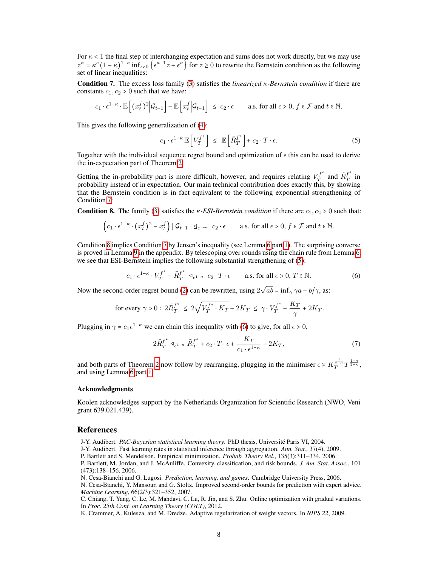For  $\kappa$  < 1 the final step of interchanging expectation and sums does not work directly, but we may use  $z^k = \kappa^k (1 - \kappa)^{1 - \kappa} \inf_{\epsilon > 0} {\{\epsilon^{\kappa - 1} z + \epsilon^{\kappa}\}\text{ for } z \geq 0 \text{ to rewrite the Bernstein condition as the following}$ set of linear inequalities:

<span id="page-7-8"></span>Condition 7. The excess loss family [\(3\)](#page-2-1) satisfies the *linearized* κ*-Bernstein condition* if there are constants  $c_1, c_2 > 0$  such that we have:

$$
c_1 \cdot \epsilon^{1-\kappa} \cdot \mathbb{E}\left[ (x_t^f)^2 \Big| \mathcal{G}_{t-1} \right] - \mathbb{E}\left[ x_t^f \Big| \mathcal{G}_{t-1} \right] \le c_2 \cdot \epsilon \qquad \text{a.s. for all } \epsilon > 0, f \in \mathcal{F} \text{ and } t \in \mathbb{N}.
$$

This gives the following generalization of [\(4\)](#page-6-2):

<span id="page-7-10"></span>
$$
c_1 \cdot \epsilon^{1-\kappa} \mathbb{E}\left[V_T^{f^*}\right] \leq \mathbb{E}\left[\tilde{R}_T^{f^*}\right] + c_2 \cdot T \cdot \epsilon. \tag{5}
$$

Together with the individual sequence regret bound and optimization of  $\epsilon$  this can be used to derive the in-expectation part of Theorem [2.](#page-3-0)

Getting the in-probability part is more difficult, however, and requires relating  $V_T^{f^*}$  $Y_T^{f^*}$  and  $\tilde{R}_T^{f^*}$  $T\int$  in probability instead of in expectation. Our main technical contribution does exactly this, by showing that the Bernstein condition is in fact equivalent to the following exponential strengthening of Condition [7:](#page-7-8)

<span id="page-7-9"></span>**Condition 8.** The family [\(3\)](#page-2-1) satisfies the  $\kappa$ -*ESI-Bernstein condition* if there are  $c_1$ ,  $c_2$  > 0 such that:

$$
\left(c_1 \cdot \epsilon^{1-\kappa} \cdot (x_t^f)^2 - x_t^f\right) \mid \mathcal{G}_{t-1} \quad \mathcal{Q}_{\epsilon^{1-\kappa}} \quad c_2 \cdot \epsilon \qquad \text{a.s. for all } \epsilon > 0, \ f \in \mathcal{F} \text{ and } t \in \mathbb{N}.
$$

Condition [8](#page-7-9) implies Condition [7](#page-7-8) by Jensen's inequality (see Lemma [6](#page-6-3) part [1\)](#page-6-4). The surprising converse is proved in Lemma [9](#page--1-5) in the appendix. By telescoping over rounds using the chain rule from Lemma [6,](#page-6-3) we see that ESI-Bernstein implies the following substantial strengthening of [\(5\)](#page-7-10):

$$
c_1 \cdot \epsilon^{1-\kappa} \cdot V_T^{f^*} - \tilde{R}_T^{f^*} \leq_{\epsilon^{1-\kappa}} c_2 \cdot T \cdot \epsilon \qquad \text{a.s. for all } \epsilon > 0, T \in \mathbb{N}.
$$
 (6)

Now the second-order regret bound [\(2\)](#page-2-0) can be rewritten, using 2  $ab = \inf_{\gamma} \gamma a + b/\gamma$ , as:

for every 
$$
\gamma > 0
$$
:  $2\tilde{R}_T^{f^*} \leq 2\sqrt{V_T^{f^*} \cdot K_T} + 2K_T \leq \gamma \cdot V_T^{f^*} + \frac{K_T}{\gamma} + 2K_T$ .

Plugging in  $\gamma = c_1 \epsilon^{1-\kappa}$  we can chain this inequality with [\(6\)](#page-7-11) to give, for all  $\epsilon > 0$ ,

<span id="page-7-11"></span>
$$
2\tilde{R}_T^{f^*} \leq_{\epsilon^{1-\kappa}} \tilde{R}_T^{f^*} + c_2 \cdot T \cdot \epsilon + \frac{K_T}{c_1 \cdot \epsilon^{1-\kappa}} + 2K_T,
$$
\n<sup>(7)</sup>

and both parts of Theorem [2](#page-3-0) now follow by rearranging, plugging in the minimiser  $\epsilon \propto K_T^{\frac{1}{2-\kappa}} T^{\frac{1-\kappa}{2-\kappa}}$ , and using Lemma [6](#page-6-3) part [1.](#page-6-4)

#### Acknowledgments

Koolen acknowledges support by the Netherlands Organization for Scientific Research (NWO, Veni grant 639.021.439).

## References

<span id="page-7-6"></span>J-Y. Audibert. *PAC-Bayesian statistical learning theory*. PhD thesis, Université Paris VI, 2004.

<span id="page-7-5"></span>J-Y. Audibert. Fast learning rates in statistical inference through aggregation. *Ann. Stat.*, 37(4), 2009.

<span id="page-7-4"></span>P. Bartlett and S. Mendelson. Empirical minimization. *Probab. Theory Rel.*, 135(3):311–334, 2006.

<span id="page-7-7"></span>P. Bartlett, M. Jordan, and J. McAuliffe. Convexity, classification, and risk bounds. *J. Am. Stat. Assoc.*, 101 (473):138–156, 2006.

<span id="page-7-0"></span>N. Cesa-Bianchi and G. Lugosi. *Prediction, learning, and games*. Cambridge University Press, 2006.

<span id="page-7-1"></span>N. Cesa-Bianchi, Y. Mansour, and G. Stoltz. Improved second-order bounds for prediction with expert advice. *Machine Learning*, 66(2/3):321–352, 2007.

<span id="page-7-3"></span>C. Chiang, T. Yang, C. Le, M. Mahdavi, C. Lu, R. Jin, and S. Zhu. Online optimization with gradual variations. In *Proc. 25th Conf. on Learning Theory (COLT)*, 2012.

<span id="page-7-2"></span>K. Crammer, A. Kulesza, and M. Dredze. Adaptive regularization of weight vectors. In *NIPS 22*, 2009.